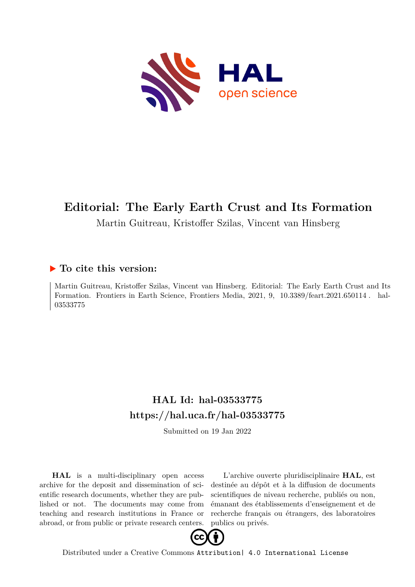

# **Editorial: The Early Earth Crust and Its Formation**

Martin Guitreau, Kristoffer Szilas, Vincent van Hinsberg

## **To cite this version:**

Martin Guitreau, Kristoffer Szilas, Vincent van Hinsberg. Editorial: The Early Earth Crust and Its Formation. Frontiers in Earth Science, Frontiers Media, 2021, 9, 10.3389/feart.2021.650114. hal-03533775ff

# **HAL Id: hal-03533775 <https://hal.uca.fr/hal-03533775>**

Submitted on 19 Jan 2022

**HAL** is a multi-disciplinary open access archive for the deposit and dissemination of scientific research documents, whether they are published or not. The documents may come from teaching and research institutions in France or abroad, or from public or private research centers.

L'archive ouverte pluridisciplinaire **HAL**, est destinée au dépôt et à la diffusion de documents scientifiques de niveau recherche, publiés ou non, émanant des établissements d'enseignement et de recherche français ou étrangers, des laboratoires publics ou privés.



Distributed under a Creative Commons [Attribution| 4.0 International License](http://creativecommons.org/licenses/by/4.0/)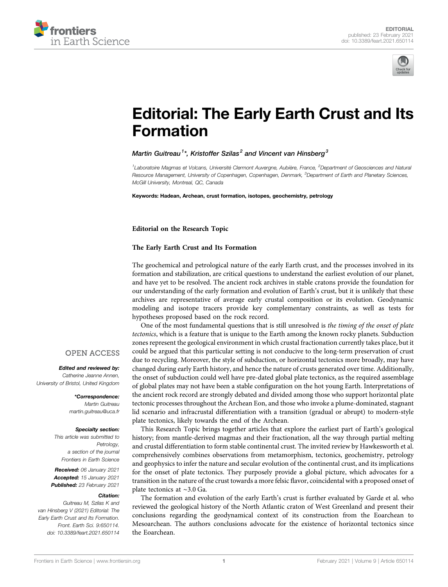



# [Editorial: The Early Earth Crust and Its](https://www.frontiersin.org/articles/10.3389/feart.2021.650114/full) [Formation](https://www.frontiersin.org/articles/10.3389/feart.2021.650114/full)

#### Martin Guitreau $^{\text{1}*}$ , Kristoffer Szilas $^{\text{2}}$  and Vincent van Hinsberg $^{\text{3}}$

<sup>1</sup>Laboratoire Magmas et Volcans, Université Clermont Auvergne, Aubière, France, <sup>2</sup>Department of Geosciences and Natural Resource Management, University of Copenhagen, Copenhagen, Denmark, <sup>3</sup>Department of Earth and Planetary Sciences, McGill University, Montreal, QC, Canada

Keywords: Hadean, Archean, crust formation, isotopes, geochemistry, petrology

Editorial on the Research Topic

#### [The Early Earth Crust and Its Formation](https://www.frontiersin.org/researchtopic/11376)

The geochemical and petrological nature of the early Earth crust, and the processes involved in its formation and stabilization, are critical questions to understand the earliest evolution of our planet, and have yet to be resolved. The ancient rock archives in stable cratons provide the foundation for our understanding of the early formation and evolution of Earth's crust, but it is unlikely that these archives are representative of average early crustal composition or its evolution. Geodynamic modeling and isotope tracers provide key complementary constraints, as well as tests for hypotheses proposed based on the rock record.

One of the most fundamental questions that is still unresolved is the timing of the onset of plate tectonics, which is a feature that is unique to the Earth among the known rocky planets. Subduction zones represent the geological environment in which crustal fractionation currently takes place, but it could be argued that this particular setting is not conducive to the long-term preservation of crust due to recycling. Moreover, the style of subduction, or horizontal tectonics more broadly, may have changed during early Earth history, and hence the nature of crusts generated over time. Additionally, the onset of subduction could well have pre-dated global plate tectonics, as the required assemblage of global plates may not have been a stable configuration on the hot young Earth. Interpretations of the ancient rock record are strongly debated and divided among those who support horizontal plate tectonic processes throughout the Archean Eon, and those who invoke a plume-dominated, stagnant lid scenario and infracrustal differentiation with a transition (gradual or abrupt) to modern-style plate tectonics, likely towards the end of the Archean.

This Research Topic brings together articles that explore the earliest part of Earth's geological history; from mantle-derived magmas and their fractionation, all the way through partial melting and crustal differentiation to form stable continental crust. The invited review by [Hawkesworth et al.](https://www.frontiersin.org/articles/10.3389/feart.2020.00326/full) comprehensively combines observations from metamorphism, tectonics, geochemistry, petrology and geophysics to infer the nature and secular evolution of the continental crust, and its implications for the onset of plate tectonics. They purposely provide a global picture, which advocates for a transition in the nature of the crust towards a more felsic flavor, coincidental with a proposed onset of plate tectonics at ∼3.0 Ga.

The formation and evolution of the early Earth's crust is further evaluated by [Garde et al.](https://www.frontiersin.org/articles/10.3389/feart.2020.540997/full) who reviewed the geological history of the North Atlantic craton of West Greenland and present their conclusions regarding the geodynamical context of its construction from the Eoarchean to Mesoarchean. The authors conclusions advocate for the existence of horizontal tectonics since the Eoarchean.

#### **OPEN ACCESS**

Edited and reviewed by: Catherine Jeanne Annen, University of Bristol, United Kingdom

> \*Correspondence: Martin Guitreau [martin.guitreau@uca.fr](mailto:martin.guitreau@uca.fr)

#### Specialty section:

This article was submitted to Petrology, a section of the journal Frontiers in Earth Science

Received: 06 January 2021 Accepted: 15 January 2021 Published: 23 February 2021

#### Citation:

Guitreau M, Szilas K and van Hinsberg V (2021) Editorial: The Early Earth Crust and Its Formation. Front. Earth Sci. 9:650114. doi: [10.3389/feart.2021.650114](https://doi.org/10.3389/feart.2021.650114)